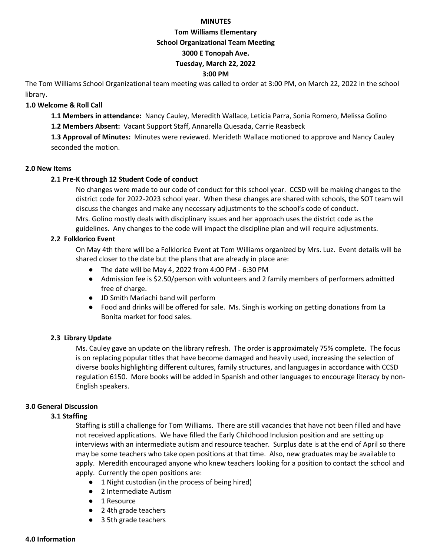#### **MINUTES**

#### **Tom Williams Elementary**

#### **School Organizational Team Meeting**

### **3000 E Tonopah Ave.**

### **Tuesday, March 22, 2022**

### **3:00 PM**

The Tom Williams School Organizational team meeting was called to order at 3:00 PM, on March 22, 2022 in the school library.

### **1.0 Welcome & Roll Call**

**1.1 Members in attendance:** Nancy Cauley, Meredith Wallace, Leticia Parra, Sonia Romero, Melissa Golino

**1.2 Members Absent:** Vacant Support Staff, Annarella Quesada, Carrie Reasbeck

**1.3 Approval of Minutes:** Minutes were reviewed. Merideth Wallace motioned to approve and Nancy Cauley seconded the motion.

### **2.0 New Items**

### **2.1 Pre-K through 12 Student Code of conduct**

No changes were made to our code of conduct for this school year. CCSD will be making changes to the district code for 2022-2023 school year. When these changes are shared with schools, the SOT team will discuss the changes and make any necessary adjustments to the school's code of conduct. Mrs. Golino mostly deals with disciplinary issues and her approach uses the district code as the guidelines. Any changes to the code will impact the discipline plan and will require adjustments.

### **2.2 Folklorico Event**

On May 4th there will be a Folklorico Event at Tom Williams organized by Mrs. Luz. Event details will be shared closer to the date but the plans that are already in place are:

- The date will be May 4, 2022 from 4:00 PM 6:30 PM
- Admission fee is \$2.50/person with volunteers and 2 family members of performers admitted free of charge.
- JD Smith Mariachi band will perform
- Food and drinks will be offered for sale. Ms. Singh is working on getting donations from La Bonita market for food sales.

### **2.3 Library Update**

Ms. Cauley gave an update on the library refresh. The order is approximately 75% complete. The focus is on replacing popular titles that have become damaged and heavily used, increasing the selection of diverse books highlighting different cultures, family structures, and languages in accordance with CCSD regulation 6150. More books will be added in Spanish and other languages to encourage literacy by non-English speakers.

### **3.0 General Discussion**

### **3.1 Staffing**

Staffing is still a challenge for Tom Williams. There are still vacancies that have not been filled and have not received applications. We have filled the Early Childhood Inclusion position and are setting up interviews with an intermediate autism and resource teacher. Surplus date is at the end of April so there may be some teachers who take open positions at that time. Also, new graduates may be available to apply. Meredith encouraged anyone who knew teachers looking for a position to contact the school and apply. Currently the open positions are:

- 1 Night custodian (in the process of being hired)
- 2 Intermediate Autism
- 1 Resource
- 2 4th grade teachers
- 3 5th grade teachers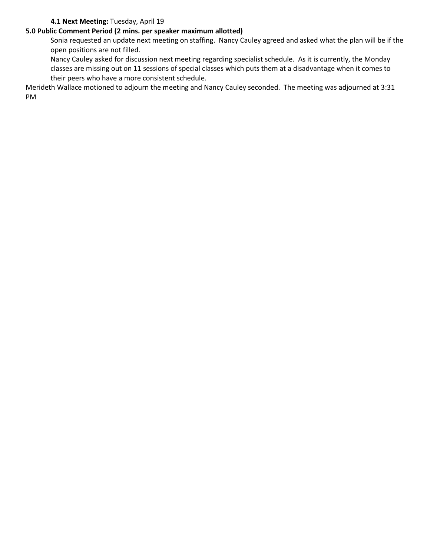### **4.1 Next Meeting:** Tuesday, April 19

# **5.0 Public Comment Period (2 mins. per speaker maximum allotted)**

Sonia requested an update next meeting on staffing. Nancy Cauley agreed and asked what the plan will be if the open positions are not filled.

Nancy Cauley asked for discussion next meeting regarding specialist schedule. As it is currently, the Monday classes are missing out on 11 sessions of special classes which puts them at a disadvantage when it comes to their peers who have a more consistent schedule.

Merideth Wallace motioned to adjourn the meeting and Nancy Cauley seconded. The meeting was adjourned at 3:31 PM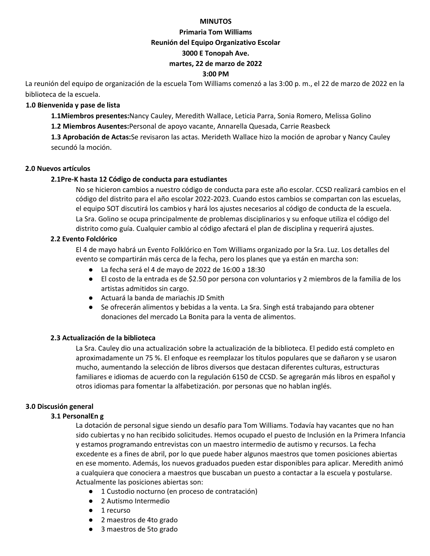#### **MINUTOS**

#### **Primaria Tom Williams**

#### **Reunión del Equipo Organizativo Escolar**

### **3000 E Tonopah Ave.**

### **martes, 22 de marzo de 2022**

### **3:00 PM**

La reunión del equipo de organización de la escuela Tom Williams comenzó a las 3:00 p. m., el 22 de marzo de 2022 en la biblioteca de la escuela.

### **1.0 Bienvenida y pase de lista**

**1.1Miembros presentes:**Nancy Cauley, Meredith Wallace, Leticia Parra, Sonia Romero, Melissa Golino

**1.2 Miembros Ausentes:**Personal de apoyo vacante, Annarella Quesada, Carrie Reasbeck

**1.3 Aprobación de Actas:**Se revisaron las actas. Merideth Wallace hizo la moción de aprobar y Nancy Cauley secundó la moción.

### **2.0 Nuevos artículos**

### **2.1Pre-K hasta 12 Código de conducta para estudiantes**

No se hicieron cambios a nuestro código de conducta para este año escolar. CCSD realizará cambios en el código del distrito para el año escolar 2022-2023. Cuando estos cambios se compartan con las escuelas, el equipo SOT discutirá los cambios y hará los ajustes necesarios al código de conducta de la escuela. La Sra. Golino se ocupa principalmente de problemas disciplinarios y su enfoque utiliza el código del distrito como guía. Cualquier cambio al código afectará el plan de disciplina y requerirá ajustes.

### **2.2 Evento Folclórico**

El 4 de mayo habrá un Evento Folklórico en Tom Williams organizado por la Sra. Luz. Los detalles del evento se compartirán más cerca de la fecha, pero los planes que ya están en marcha son:

- La fecha será el 4 de mayo de 2022 de 16:00 a 18:30
- El costo de la entrada es de \$2.50 por persona con voluntarios y 2 miembros de la familia de los artistas admitidos sin cargo.
- Actuará la banda de mariachis JD Smith
- Se ofrecerán alimentos y bebidas a la venta. La Sra. Singh está trabajando para obtener donaciones del mercado La Bonita para la venta de alimentos.

### **2.3 Actualización de la biblioteca**

La Sra. Cauley dio una actualización sobre la actualización de la biblioteca. El pedido está completo en aproximadamente un 75 %. El enfoque es reemplazar los títulos populares que se dañaron y se usaron mucho, aumentando la selección de libros diversos que destacan diferentes culturas, estructuras familiares e idiomas de acuerdo con la regulación 6150 de CCSD. Se agregarán más libros en español y otros idiomas para fomentar la alfabetización. por personas que no hablan inglés.

### **3.0 Discusión general**

#### **3.1 PersonalEn g**

La dotación de personal sigue siendo un desafío para Tom Williams. Todavía hay vacantes que no han sido cubiertas y no han recibido solicitudes. Hemos ocupado el puesto de Inclusión en la Primera Infancia y estamos programando entrevistas con un maestro intermedio de autismo y recursos. La fecha excedente es a fines de abril, por lo que puede haber algunos maestros que tomen posiciones abiertas en ese momento. Además, los nuevos graduados pueden estar disponibles para aplicar. Meredith animó a cualquiera que conociera a maestros que buscaban un puesto a contactar a la escuela y postularse. Actualmente las posiciones abiertas son:

- 1 Custodio nocturno (en proceso de contratación)
- 2 Autismo Intermedio
- 1 recurso
- 2 maestros de 4to grado
- 3 maestros de 5to grado